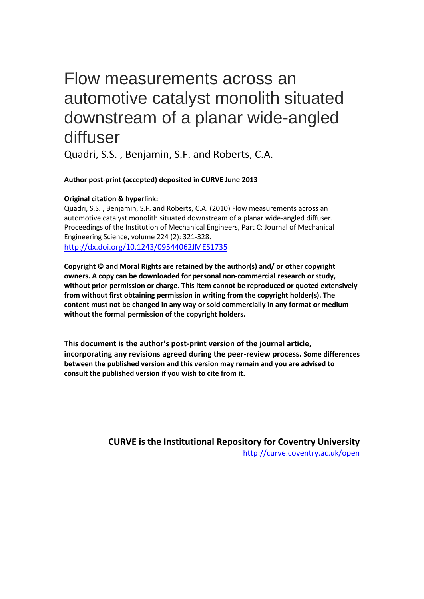# Flow measurements across an automotive catalyst monolith situated downstream of a planar wide-angled diffuser

Quadri, S.S. , Benjamin, S.F. and Roberts, C.A.

**Author post-print (accepted) deposited in CURVE June 2013**

## **Original citation & hyperlink:**

Quadri, S.S. , Benjamin, S.F. and Roberts, C.A. (2010) Flow measurements across an automotive catalyst monolith situated downstream of a planar wide-angled diffuser. Proceedings of the Institution of Mechanical Engineers, Part C: Journal of Mechanical Engineering Science, volume 224 (2): 321-328.

<http://dx.doi.org/10.1243/09544062JMES1735>

**Copyright © and Moral Rights are retained by the author(s) and/ or other copyright owners. A copy can be downloaded for personal non-commercial research or study, without prior permission or charge. This item cannot be reproduced or quoted extensively from without first obtaining permission in writing from the copyright holder(s). The content must not be changed in any way or sold commercially in any format or medium without the formal permission of the copyright holders.** 

**This document is the author's post-print version of the journal article, incorporating any revisions agreed during the peer-review process. Some differences between the published version and this version may remain and you are advised to consult the published version if you wish to cite from it.** 

> **CURVE is the Institutional Repository for Coventry University** <http://curve.coventry.ac.uk/open>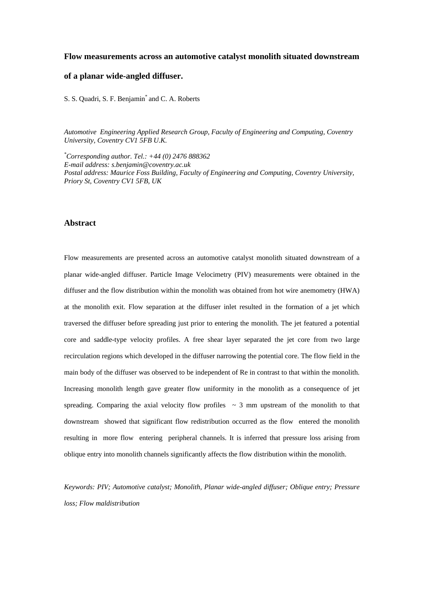#### **Flow measurements across an automotive catalyst monolith situated downstream**

#### **of a planar wide-angled diffuser.**

S. S. Quadri, S. F. Benjamin\* and C. A. Roberts

*Automotive Engineering Applied Research Group, Faculty of Engineering and Computing, Coventry University, Coventry CV1 5FB U.K.*

*\* Corresponding author. Tel.: +44 (0) 2476 888362 E-mail address: s.benjamin@coventry.ac.uk Postal address: Maurice Foss Building, Faculty of Engineering and Computing, Coventry University, Priory St, Coventry CV1 5FB, UK*

#### **Abstract**

Flow measurements are presented across an automotive catalyst monolith situated downstream of a planar wide-angled diffuser. Particle Image Velocimetry (PIV) measurements were obtained in the diffuser and the flow distribution within the monolith was obtained from hot wire anemometry (HWA) at the monolith exit. Flow separation at the diffuser inlet resulted in the formation of a jet which traversed the diffuser before spreading just prior to entering the monolith. The jet featured a potential core and saddle-type velocity profiles. A free shear layer separated the jet core from two large recirculation regions which developed in the diffuser narrowing the potential core. The flow field in the main body of the diffuser was observed to be independent of Re in contrast to that within the monolith. Increasing monolith length gave greater flow uniformity in the monolith as a consequence of jet spreading. Comparing the axial velocity flow profiles  $\sim$  3 mm upstream of the monolith to that downstream showed that significant flow redistribution occurred as the flow entered the monolith resulting in more flow entering peripheral channels. It is inferred that pressure loss arising from oblique entry into monolith channels significantly affects the flow distribution within the monolith.

*Keywords: PIV; Automotive catalyst; Monolith, Planar wide-angled diffuser; Oblique entry; Pressure loss; Flow maldistribution*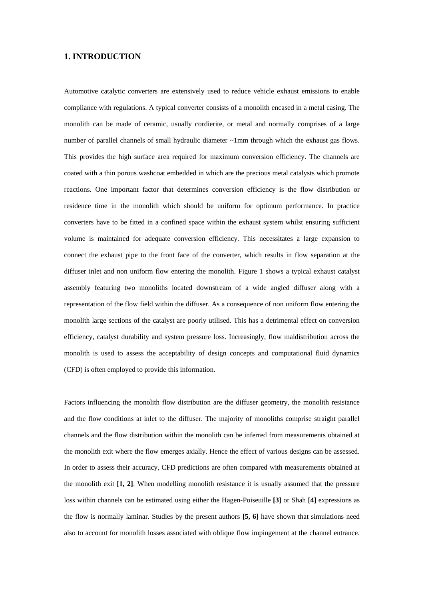## **1. INTRODUCTION**

Automotive catalytic converters are extensively used to reduce vehicle exhaust emissions to enable compliance with regulations. A typical converter consists of a monolith encased in a metal casing. The monolith can be made of ceramic, usually cordierite, or metal and normally comprises of a large number of parallel channels of small hydraulic diameter ~1mm through which the exhaust gas flows. This provides the high surface area required for maximum conversion efficiency. The channels are coated with a thin porous washcoat embedded in which are the precious metal catalysts which promote reactions. One important factor that determines conversion efficiency is the flow distribution or residence time in the monolith which should be uniform for optimum performance. In practice converters have to be fitted in a confined space within the exhaust system whilst ensuring sufficient volume is maintained for adequate conversion efficiency. This necessitates a large expansion to connect the exhaust pipe to the front face of the converter, which results in flow separation at the diffuser inlet and non uniform flow entering the monolith. Figure 1 shows a typical exhaust catalyst assembly featuring two monoliths located downstream of a wide angled diffuser along with a representation of the flow field within the diffuser. As a consequence of non uniform flow entering the monolith large sections of the catalyst are poorly utilised. This has a detrimental effect on conversion efficiency, catalyst durability and system pressure loss. Increasingly, flow maldistribution across the monolith is used to assess the acceptability of design concepts and computational fluid dynamics (CFD) is often employed to provide this information.

Factors influencing the monolith flow distribution are the diffuser geometry, the monolith resistance and the flow conditions at inlet to the diffuser. The majority of monoliths comprise straight parallel channels and the flow distribution within the monolith can be inferred from measurements obtained at the monolith exit where the flow emerges axially. Hence the effect of various designs can be assessed. In order to assess their accuracy, CFD predictions are often compared with measurements obtained at the monolith exit **[1, 2]**. When modelling monolith resistance it is usually assumed that the pressure loss within channels can be estimated using either the Hagen-Poiseuille **[3]** or Shah **[4]** expressions as the flow is normally laminar. Studies by the present authors **[5, 6]** have shown that simulations need also to account for monolith losses associated with oblique flow impingement at the channel entrance.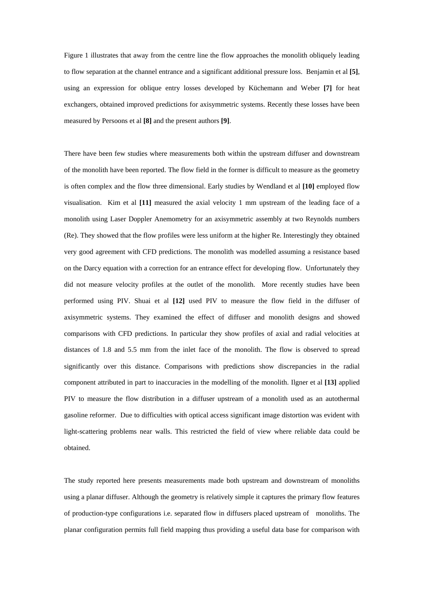Figure 1 illustrates that away from the centre line the flow approaches the monolith obliquely leading to flow separation at the channel entrance and a significant additional pressure loss. Benjamin et al **[5]**, using an expression for oblique entry losses developed by Küchemann and Weber **[7]** for heat exchangers, obtained improved predictions for axisymmetric systems. Recently these losses have been measured by Persoons et al **[8]** and the present authors **[9]**.

There have been few studies where measurements both within the upstream diffuser and downstream of the monolith have been reported. The flow field in the former is difficult to measure as the geometry is often complex and the flow three dimensional. Early studies by Wendland et al **[10]** employed flow visualisation. Kim et al **[11]** measured the axial velocity 1 mm upstream of the leading face of a monolith using Laser Doppler Anemometry for an axisymmetric assembly at two Reynolds numbers (Re). They showed that the flow profiles were less uniform at the higher Re. Interestingly they obtained very good agreement with CFD predictions. The monolith was modelled assuming a resistance based on the Darcy equation with a correction for an entrance effect for developing flow. Unfortunately they did not measure velocity profiles at the outlet of the monolith. More recently studies have been performed using PIV. Shuai et al **[12]** used PIV to measure the flow field in the diffuser of axisymmetric systems. They examined the effect of diffuser and monolith designs and showed comparisons with CFD predictions. In particular they show profiles of axial and radial velocities at distances of 1.8 and 5.5 mm from the inlet face of the monolith. The flow is observed to spread significantly over this distance. Comparisons with predictions show discrepancies in the radial component attributed in part to inaccuracies in the modelling of the monolith. Ilgner et al **[13]** applied PIV to measure the flow distribution in a diffuser upstream of a monolith used as an autothermal gasoline reformer. Due to difficulties with optical access significant image distortion was evident with light-scattering problems near walls. This restricted the field of view where reliable data could be obtained.

The study reported here presents measurements made both upstream and downstream of monoliths using a planar diffuser. Although the geometry is relatively simple it captures the primary flow features of production-type configurations i.e. separated flow in diffusers placed upstream of monoliths. The planar configuration permits full field mapping thus providing a useful data base for comparison with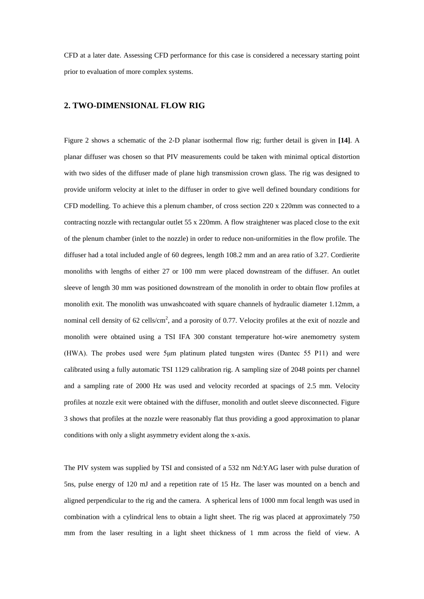CFD at a later date. Assessing CFD performance for this case is considered a necessary starting point prior to evaluation of more complex systems.

## **2. TWO-DIMENSIONAL FLOW RIG**

Figure 2 shows a schematic of the 2-D planar isothermal flow rig; further detail is given in **[14]**. A planar diffuser was chosen so that PIV measurements could be taken with minimal optical distortion with two sides of the diffuser made of plane high transmission crown glass. The rig was designed to provide uniform velocity at inlet to the diffuser in order to give well defined boundary conditions for CFD modelling. To achieve this a plenum chamber, of cross section 220 x 220mm was connected to a contracting nozzle with rectangular outlet 55 x 220mm. A flow straightener was placed close to the exit of the plenum chamber (inlet to the nozzle) in order to reduce non-uniformities in the flow profile. The diffuser had a total included angle of 60 degrees, length 108.2 mm and an area ratio of 3.27. Cordierite monoliths with lengths of either 27 or 100 mm were placed downstream of the diffuser. An outlet sleeve of length 30 mm was positioned downstream of the monolith in order to obtain flow profiles at monolith exit. The monolith was unwashcoated with square channels of hydraulic diameter 1.12mm, a nominal cell density of 62 cells/cm<sup>2</sup>, and a porosity of 0.77. Velocity profiles at the exit of nozzle and monolith were obtained using a TSI IFA 300 constant temperature hot-wire anemometry system (HWA). The probes used were 5μm platinum plated tungsten wires (Dantec 55 P11) and were calibrated using a fully automatic TSI 1129 calibration rig. A sampling size of 2048 points per channel and a sampling rate of 2000 Hz was used and velocity recorded at spacings of 2.5 mm. Velocity profiles at nozzle exit were obtained with the diffuser, monolith and outlet sleeve disconnected. Figure 3 shows that profiles at the nozzle were reasonably flat thus providing a good approximation to planar conditions with only a slight asymmetry evident along the x-axis.

The PIV system was supplied by TSI and consisted of a 532 nm Nd:YAG laser with pulse duration of 5ns, pulse energy of 120 mJ and a repetition rate of 15 Hz. The laser was mounted on a bench and aligned perpendicular to the rig and the camera. A spherical lens of 1000 mm focal length was used in combination with a cylindrical lens to obtain a light sheet. The rig was placed at approximately 750 mm from the laser resulting in a light sheet thickness of 1 mm across the field of view. A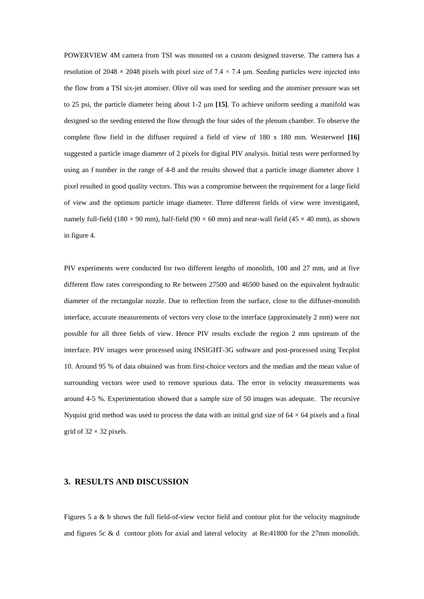POWERVIEW 4M camera from TSI was mounted on a custom designed traverse. The camera has a resolution of 2048  $\times$  2048 pixels with pixel size of 7.4  $\times$  7.4 µm. Seeding particles were injected into the flow from a TSI six-jet atomiser. Olive oil was used for seeding and the atomiser pressure was set to 25 psi, the particle diameter being about 1-2 μm **[15]**. To achieve uniform seeding a manifold was designed so the seeding entered the flow through the four sides of the plenum chamber. To observe the complete flow field in the diffuser required a field of view of 180 x 180 mm. Westerweel **[16]** suggested a particle image diameter of 2 pixels for digital PIV analysis. Initial tests were performed by using an f number in the range of 4-8 and the results showed that a particle image diameter above 1 pixel resulted in good quality vectors. This was a compromise between the requirement for a large field of view and the optimum particle image diameter. Three different fields of view were investigated, namely full-field (180  $\times$  90 mm), half-field (90  $\times$  60 mm) and near-wall field (45  $\times$  40 mm), as shown in figure 4.

PIV experiments were conducted for two different lengths of monolith, 100 and 27 mm, and at five different flow rates corresponding to Re between 27500 and 46500 based on the equivalent hydraulic diameter of the rectangular nozzle. Due to reflection from the surface, close to the diffuser-monolith interface, accurate measurements of vectors very close to the interface (approximately 2 mm) were not possible for all three fields of view. Hence PIV results exclude the region 2 mm upstream of the interface. PIV images were processed using INSIGHT-3G software and post-processed using Tecplot 10. Around 95 % of data obtained was from first-choice vectors and the median and the mean value of surrounding vectors were used to remove spurious data. The error in velocity measurements was around 4-5 %. Experimentation showed that a sample size of 50 images was adequate. The recursive Nyquist grid method was used to process the data with an initial grid size of  $64 \times 64$  pixels and a final grid of  $32 \times 32$  pixels.

### **3. RESULTS AND DISCUSSION**

Figures 5 a & b shows the full field-of-view vector field and contour plot for the velocity magnitude and figures 5c & d contour plots for axial and lateral velocity at Re:41800 for the 27mm monolith.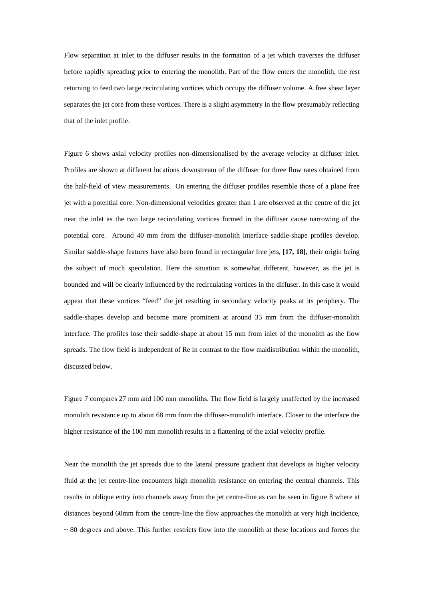Flow separation at inlet to the diffuser results in the formation of a jet which traverses the diffuser before rapidly spreading prior to entering the monolith. Part of the flow enters the monolith, the rest returning to feed two large recirculating vortices which occupy the diffuser volume. A free shear layer separates the jet core from these vortices. There is a slight asymmetry in the flow presumably reflecting that of the inlet profile.

Figure 6 shows axial velocity profiles non-dimensionalised by the average velocity at diffuser inlet. Profiles are shown at different locations downstream of the diffuser for three flow rates obtained from the half-field of view measurements. On entering the diffuser profiles resemble those of a plane free jet with a potential core. Non-dimensional velocities greater than 1 are observed at the centre of the jet near the inlet as the two large recirculating vortices formed in the diffuser cause narrowing of the potential core. Around 40 mm from the diffuser-monolith interface saddle-shape profiles develop. Similar saddle-shape features have also been found in rectangular free jets, **[17, 18]**, their origin being the subject of much speculation. Here the situation is somewhat different, however, as the jet is bounded and will be clearly influenced by the recirculating vortices in the diffuser. In this case it would appear that these vortices "feed" the jet resulting in secondary velocity peaks at its periphery. The saddle-shapes develop and become more prominent at around 35 mm from the diffuser-monolith interface. The profiles lose their saddle-shape at about 15 mm from inlet of the monolith as the flow spreads. The flow field is independent of Re in contrast to the flow maldistribution within the monolith, discussed below.

Figure 7 compares 27 mm and 100 mm monoliths. The flow field is largely unaffected by the increased monolith resistance up to about 68 mm from the diffuser-monolith interface. Closer to the interface the higher resistance of the 100 mm monolith results in a flattening of the axial velocity profile.

Near the monolith the jet spreads due to the lateral pressure gradient that develops as higher velocity fluid at the jet centre-line encounters high monolith resistance on entering the central channels. This results in oblique entry into channels away from the jet centre-line as can be seen in figure 8 where at distances beyond 60mm from the centre-line the flow approaches the monolith at very high incidence,  $\sim$  80 degrees and above. This further restricts flow into the monolith at these locations and forces the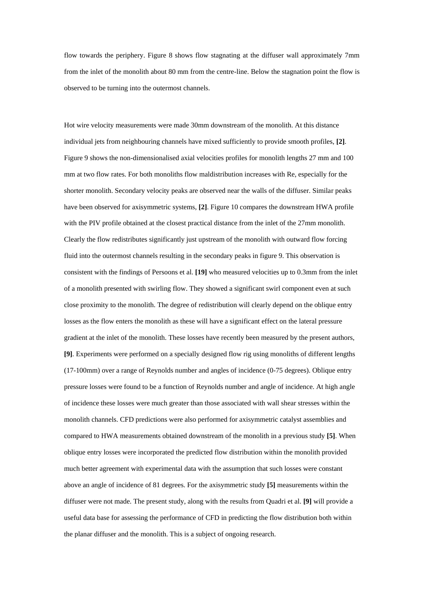flow towards the periphery. Figure 8 shows flow stagnating at the diffuser wall approximately 7mm from the inlet of the monolith about 80 mm from the centre-line. Below the stagnation point the flow is observed to be turning into the outermost channels.

Hot wire velocity measurements were made 30mm downstream of the monolith. At this distance individual jets from neighbouring channels have mixed sufficiently to provide smooth profiles, **[2]**. Figure 9 shows the non-dimensionalised axial velocities profiles for monolith lengths 27 mm and 100 mm at two flow rates. For both monoliths flow maldistribution increases with Re, especially for the shorter monolith. Secondary velocity peaks are observed near the walls of the diffuser. Similar peaks have been observed for axisymmetric systems, **[2]**. Figure 10 compares the downstream HWA profile with the PIV profile obtained at the closest practical distance from the inlet of the 27mm monolith. Clearly the flow redistributes significantly just upstream of the monolith with outward flow forcing fluid into the outermost channels resulting in the secondary peaks in figure 9. This observation is consistent with the findings of Persoons et al. **[19]** who measured velocities up to 0.3mm from the inlet of a monolith presented with swirling flow. They showed a significant swirl component even at such close proximity to the monolith. The degree of redistribution will clearly depend on the oblique entry losses as the flow enters the monolith as these will have a significant effect on the lateral pressure gradient at the inlet of the monolith. These losses have recently been measured by the present authors, **[9]**. Experiments were performed on a specially designed flow rig using monoliths of different lengths (17-100mm) over a range of Reynolds number and angles of incidence (0-75 degrees). Oblique entry pressure losses were found to be a function of Reynolds number and angle of incidence. At high angle of incidence these losses were much greater than those associated with wall shear stresses within the monolith channels. CFD predictions were also performed for axisymmetric catalyst assemblies and compared to HWA measurements obtained downstream of the monolith in a previous study **[5]**. When oblique entry losses were incorporated the predicted flow distribution within the monolith provided much better agreement with experimental data with the assumption that such losses were constant above an angle of incidence of 81 degrees. For the axisymmetric study **[5]** measurements within the diffuser were not made. The present study, along with the results from Quadri et al. **[9]** will provide a useful data base for assessing the performance of CFD in predicting the flow distribution both within the planar diffuser and the monolith. This is a subject of ongoing research.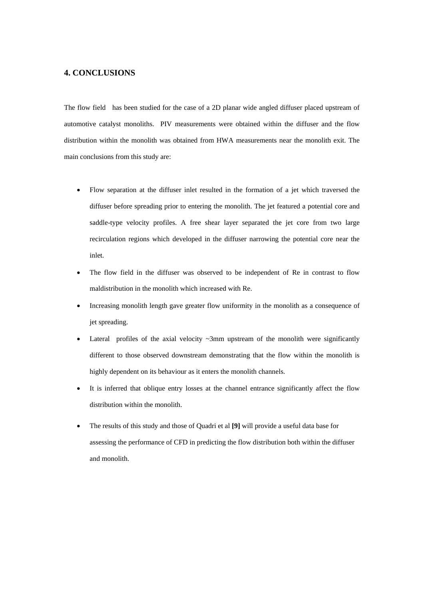## **4. CONCLUSIONS**

The flow field has been studied for the case of a 2D planar wide angled diffuser placed upstream of automotive catalyst monoliths. PIV measurements were obtained within the diffuser and the flow distribution within the monolith was obtained from HWA measurements near the monolith exit. The main conclusions from this study are:

- Flow separation at the diffuser inlet resulted in the formation of a jet which traversed the diffuser before spreading prior to entering the monolith. The jet featured a potential core and saddle-type velocity profiles. A free shear layer separated the jet core from two large recirculation regions which developed in the diffuser narrowing the potential core near the inlet.
- The flow field in the diffuser was observed to be independent of Re in contrast to flow maldistribution in the monolith which increased with Re.
- Increasing monolith length gave greater flow uniformity in the monolith as a consequence of jet spreading.
- Lateral profiles of the axial velocity  $\sim$ 3mm upstream of the monolith were significantly different to those observed downstream demonstrating that the flow within the monolith is highly dependent on its behaviour as it enters the monolith channels.
- It is inferred that oblique entry losses at the channel entrance significantly affect the flow distribution within the monolith.
- The results of this study and those of Quadri et al **[9]** will provide a useful data base for assessing the performance of CFD in predicting the flow distribution both within the diffuser and monolith.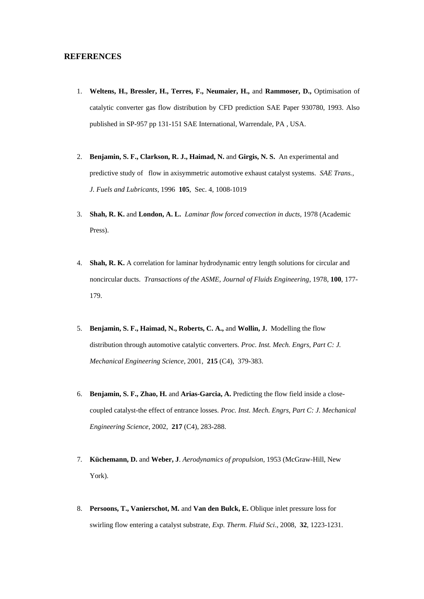## **REFERENCES**

- 1. **Weltens, H., Bressler, H., Terres, F., Neumaier, H.,** and **Rammoser, D.,** Optimisation of catalytic converter gas flow distribution by CFD prediction SAE Paper 930780, 1993. Also published in SP-957 pp 131-151 SAE International, Warrendale, PA , USA.
- 2. **Benjamin, S. F., Clarkson, R. J., Haimad, N.** and **Girgis, N. S.** An experimental and predictive study of flow in axisymmetric automotive exhaust catalyst systems. *SAE Trans., J. Fuels and Lubricants*, 1996 **105**, Sec. 4, 1008-1019
- 3. **Shah, R. K.** and **London, A. L.** *Laminar flow forced convection in ducts,* 1978 (Academic Press).
- 4. **Shah, R. K.** A correlation for laminar hydrodynamic entry length solutions for circular and noncircular ducts. *Transactions of the ASME, Journal of Fluids Engineering*, 1978, **100**, 177- 179.
- 5. **Benjamin, S. F., Haimad, N., Roberts, C. A.,** and **Wollin, J.** Modelling the flow distribution through automotive catalytic converters. *Proc. Inst. Mech. Engrs, Part C: J. Mechanical Engineering Science*, 2001, **215** (C4), 379-383.
- 6. **Benjamin, S. F., Zhao, H.** and **Arias-Garcia, A.** Predicting the flow field inside a closecoupled catalyst-the effect of entrance losses. *Proc. Inst. Mech. Engrs, Part C: J. Mechanical Engineering Science*, 2002, **217** (C4), 283-288.
- 7. **Küchemann, D.** and **Weber, J**. *Aerodynamics of propulsion*, 1953 (McGraw-Hill, New York).
- 8. **Persoons, T., Vanierschot, M.** and **Van den Bulck, E.** Oblique inlet pressure loss for swirling flow entering a catalyst substrate, *Exp. Therm. Fluid Sci*., 2008, **32**, 1223-1231.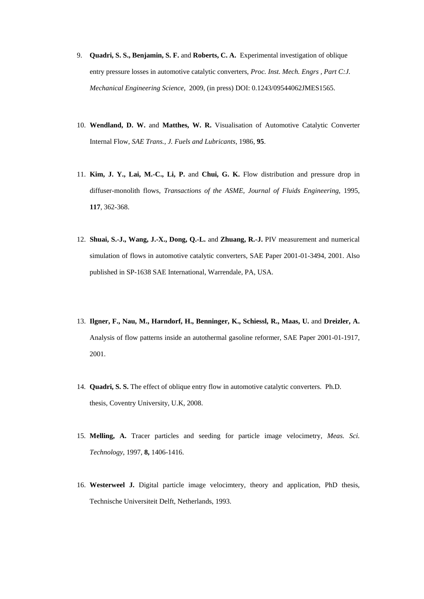- 9. **Quadri, S. S., Benjamin, S. F.** and **Roberts, C. A.** Experimental investigation of oblique entry pressure losses in automotive catalytic converters, *Proc. Inst. Mech. Engrs , Part C:J. Mechanical Engineering Science*, 2009, (in press) DOI: 0.1243/09544062JMES1565.
- 10. **Wendland, D. W.** and **Matthes, W. R.** Visualisation of Automotive Catalytic Converter Internal Flow, *SAE Trans., J. Fuels and Lubricants*, 1986, **95**.
- 11. **Kim, J. Y., Lai, M.-C., Li, P.** and **Chui, G. K.** Flow distribution and pressure drop in diffuser-monolith flows, *Transactions of the ASME, Journal of Fluids Engineering*, 1995, **117**, 362-368.
- 12. **Shuai, S.-J., Wang, J.-X., Dong, Q.-L.** and **Zhuang, R.-J.** PIV measurement and numerical simulation of flows in automotive catalytic converters, SAE Paper 2001-01-3494, 2001. Also published in SP-1638 SAE International, Warrendale, PA, USA.
- 13. **Ilgner, F., Nau, M., Harndorf, H., Benninger, K., Schiessl, R., Maas, U.** and **Dreizler, A.** Analysis of flow patterns inside an autothermal gasoline reformer, SAE Paper 2001-01-1917, 2001.
- 14. **Quadri, S. S.** The effect of oblique entry flow in automotive catalytic converters. Ph.D. thesis, Coventry University, U.K, 2008.
- 15. **Melling, A.** Tracer particles and seeding for particle image velocimetry, *Meas. Sci. Technology*, 1997, **8,** 1406-1416.
- 16. **Westerweel J.** Digital particle image velocimtery, theory and application, PhD thesis, Technische Universiteit Delft, Netherlands, 1993.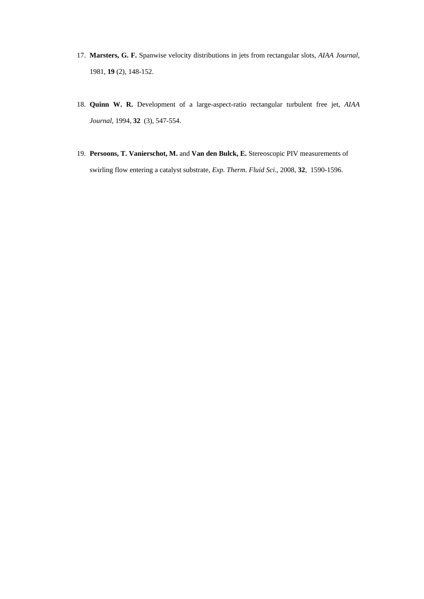- 17. **Marsters, G. F.** Spanwise velocity distributions in jets from rectangular slots, *AIAA Journal,* 1981, **19** (2), 148-152.
- 18. **Quinn W. R.** Development of a large-aspect-ratio rectangular turbulent free jet, *AIAA Journal*, 1994, **32** (3), 547-554.
- 19. **Persoons, T. Vanierschot, M.** and **Van den Bulck, E.** Stereoscopic PIV measurements of swirling flow entering a catalyst substrate, *Exp. Therm. Fluid Sci*., 2008, **32**, 1590-1596.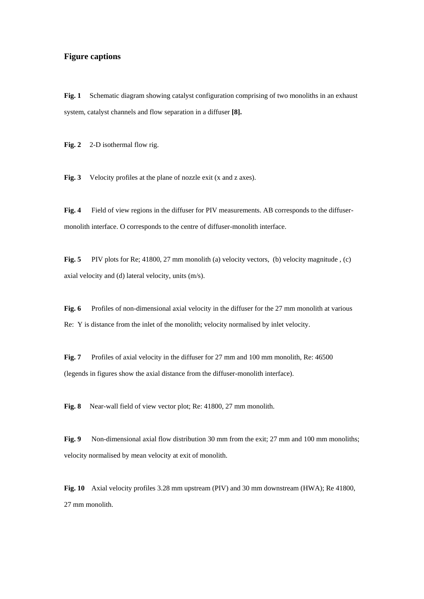## **Figure captions**

**Fig. 1** Schematic diagram showing catalyst configuration comprising of two monoliths in an exhaust system, catalyst channels and flow separation in a diffuser **[8].**

Fig. 2 2-D isothermal flow rig.

Fig. 3 Velocity profiles at the plane of nozzle exit (x and z axes).

**Fig. 4** Field of view regions in the diffuser for PIV measurements. AB corresponds to the diffusermonolith interface. O corresponds to the centre of diffuser-monolith interface.

**Fig. 5** PIV plots for Re; 41800, 27 mm monolith (a) velocity vectors, (b) velocity magnitude, (c) axial velocity and (d) lateral velocity, units (m/s).

**Fig. 6** Profiles of non-dimensional axial velocity in the diffuser for the 27 mm monolith at various Re: Y is distance from the inlet of the monolith; velocity normalised by inlet velocity.

**Fig. 7** Profiles of axial velocity in the diffuser for 27 mm and 100 mm monolith, Re: 46500 (legends in figures show the axial distance from the diffuser-monolith interface).

**Fig. 8** Near-wall field of view vector plot; Re: 41800, 27 mm monolith.

**Fig. 9** Non-dimensional axial flow distribution 30 mm from the exit; 27 mm and 100 mm monoliths; velocity normalised by mean velocity at exit of monolith.

**Fig. 10** Axial velocity profiles 3.28 mm upstream (PIV) and 30 mm downstream (HWA); Re 41800, 27 mm monolith.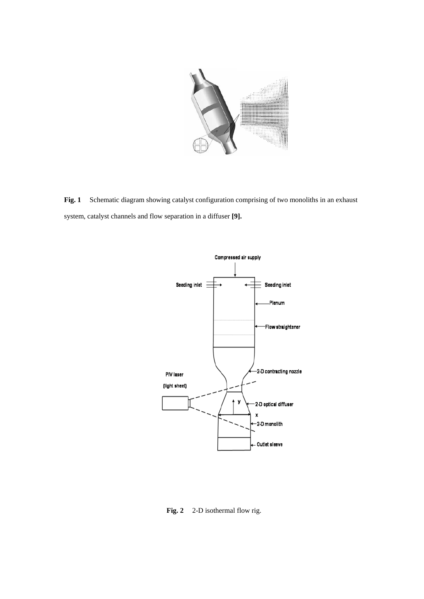

Fig. 1 Schematic diagram showing catalyst configuration comprising of two monoliths in an exhaust system, catalyst channels and flow separation in a diffuser **[9].**



Fig. 2 2-D isothermal flow rig.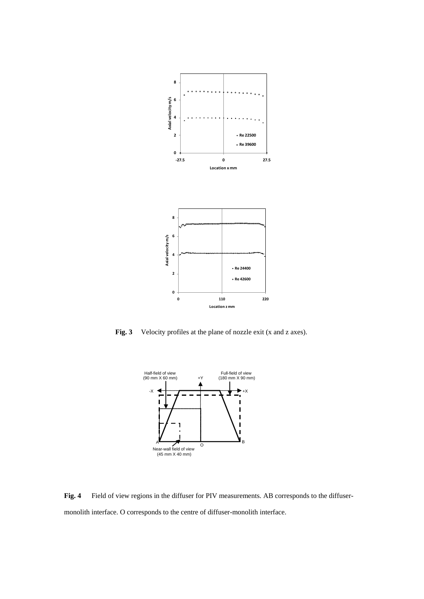

Fig. 3 Velocity profiles at the plane of nozzle exit (x and z axes).



Fig. 4 Field of view regions in the diffuser for PIV measurements. AB corresponds to the diffusermonolith interface. O corresponds to the centre of diffuser-monolith interface.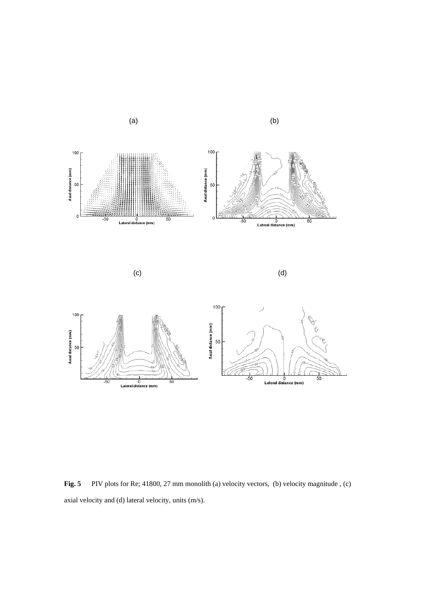

 $(c)$  (d)



Fig. 5 PIV plots for Re; 41800, 27 mm monolith (a) velocity vectors, (b) velocity magnitude, (c) axial velocity and (d) lateral velocity, units (m/s).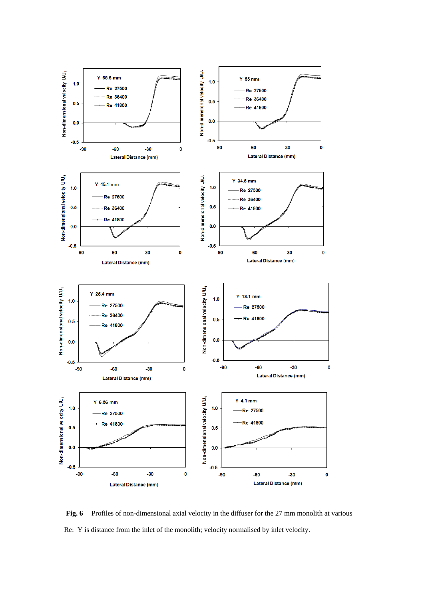

**Fig. 6** Profiles of non-dimensional axial velocity in the diffuser for the 27 mm monolith at various Re: Y is distance from the inlet of the monolith; velocity normalised by inlet velocity.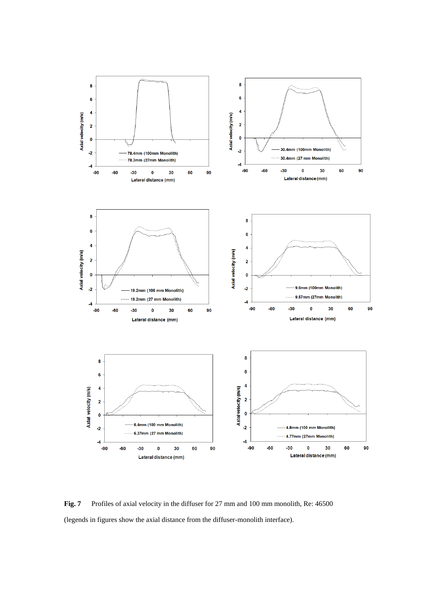

**Fig. 7** Profiles of axial velocity in the diffuser for 27 mm and 100 mm monolith, Re: 46500 (legends in figures show the axial distance from the diffuser-monolith interface).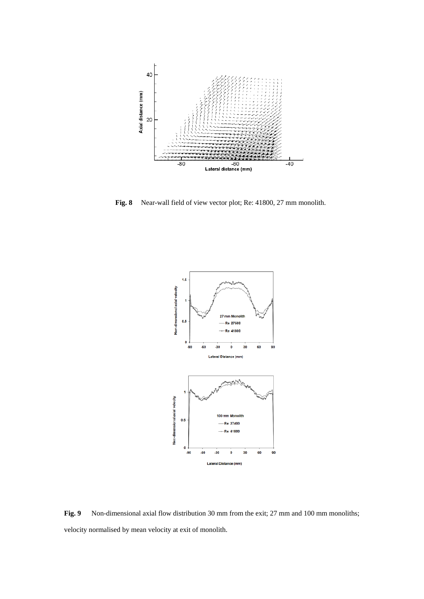

**Fig. 8** Near-wall field of view vector plot; Re: 41800, 27 mm monolith.



Fig. 9 Non-dimensional axial flow distribution 30 mm from the exit; 27 mm and 100 mm monoliths; velocity normalised by mean velocity at exit of monolith.